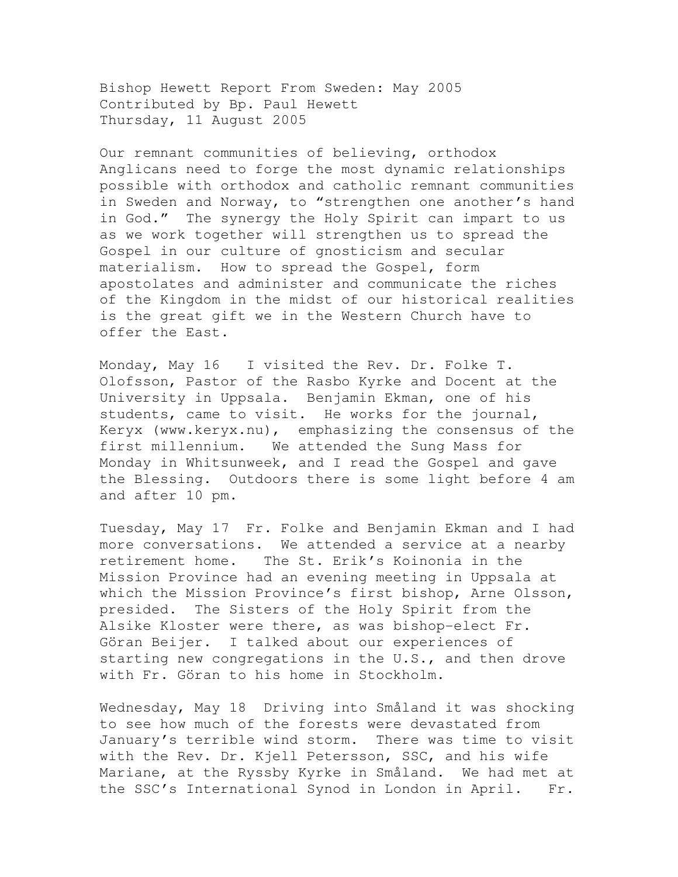Bishop Hewett Report From Sweden: May 2005 Contributed by Bp. Paul Hewett Thursday, 11 August 2005

Our remnant communities of believing, orthodox Anglicans need to forge the most dynamic relationships possible with orthodox and catholic remnant communities in Sweden and Norway, to "strengthen one another's hand in God." The synergy the Holy Spirit can impart to us as we work together will strengthen us to spread the Gospel in our culture of gnosticism and secular materialism. How to spread the Gospel, form apostolates and administer and communicate the riches of the Kingdom in the midst of our historical realities is the great gift we in the Western Church have to offer the East.

Monday, May 16 I visited the Rev. Dr. Folke T. Olofsson, Pastor of the Rasbo Kyrke and Docent at the University in Uppsala. Benjamin Ekman, one of his students, came to visit. He works for the journal, Keryx (www.keryx.nu), emphasizing the consensus of the first millennium. We attended the Sung Mass for Monday in Whitsunweek, and I read the Gospel and gave the Blessing. Outdoors there is some light before 4 am and after 10 pm.

Tuesday, May 17 Fr. Folke and Benjamin Ekman and I had more conversations. We attended a service at a nearby retirement home. The St. Erik's Koinonia in the Mission Province had an evening meeting in Uppsala at which the Mission Province's first bishop, Arne Olsson, presided. The Sisters of the Holy Spirit from the Alsike Kloster were there, as was bishop-elect Fr. Göran Beijer. I talked about our experiences of starting new congregations in the U.S., and then drove with Fr. Göran to his home in Stockholm.

Wednesday, May 18 Driving into Småland it was shocking to see how much of the forests were devastated from January's terrible wind storm. There was time to visit with the Rev. Dr. Kjell Petersson, SSC, and his wife Mariane, at the Ryssby Kyrke in Småland. We had met at the SSC's International Synod in London in April. Fr.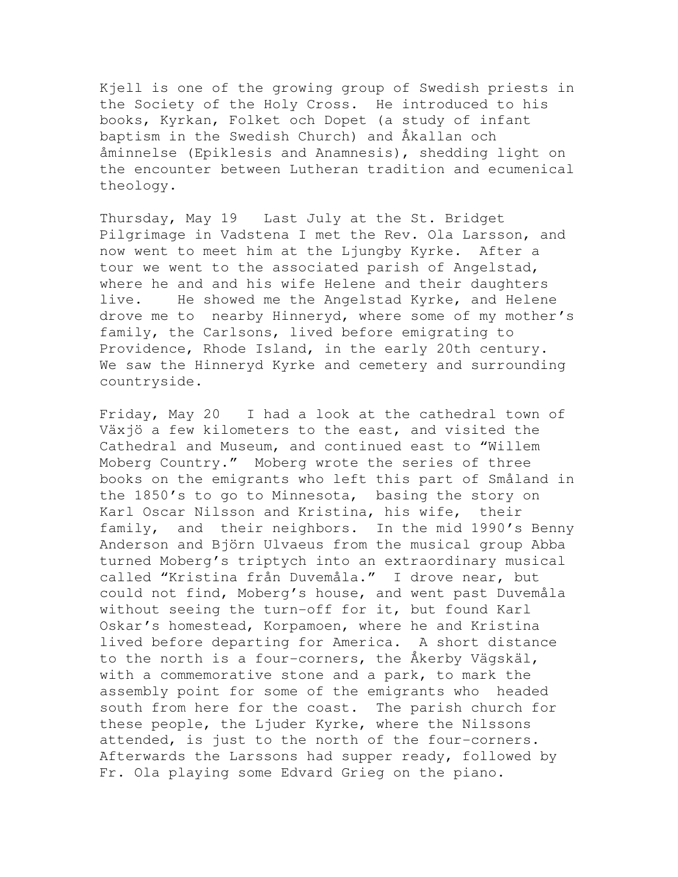Kjell is one of the growing group of Swedish priests in the Society of the Holy Cross. He introduced to his books, Kyrkan, Folket och Dopet (a study of infant baptism in the Swedish Church) and Åkallan och åminnelse (Epiklesis and Anamnesis), shedding light on the encounter between Lutheran tradition and ecumenical theology.

Thursday, May 19 Last July at the St. Bridget Pilgrimage in Vadstena I met the Rev. Ola Larsson, and now went to meet him at the Ljungby Kyrke. After a tour we went to the associated parish of Angelstad, where he and and his wife Helene and their daughters live. He showed me the Angelstad Kyrke, and Helene drove me to nearby Hinneryd, where some of my mother's family, the Carlsons, lived before emigrating to Providence, Rhode Island, in the early 20th century. We saw the Hinneryd Kyrke and cemetery and surrounding countryside.

Friday, May 20 I had a look at the cathedral town of Växjö a few kilometers to the east, and visited the Cathedral and Museum, and continued east to "Willem Moberg Country." Moberg wrote the series of three books on the emigrants who left this part of Småland in the 1850's to go to Minnesota, basing the story on Karl Oscar Nilsson and Kristina, his wife, their family, and their neighbors. In the mid 1990's Benny Anderson and Björn Ulvaeus from the musical group Abba turned Moberg's triptych into an extraordinary musical called "Kristina från Duvemåla." I drove near, but could not find, Moberg's house, and went past Duvemåla without seeing the turn-off for it, but found Karl Oskar's homestead, Korpamoen, where he and Kristina lived before departing for America. A short distance to the north is a four-corners, the Åkerby Vägskäl, with a commemorative stone and a park, to mark the assembly point for some of the emigrants who headed south from here for the coast. The parish church for these people, the Ljuder Kyrke, where the Nilssons attended, is just to the north of the four-corners. Afterwards the Larssons had supper ready, followed by Fr. Ola playing some Edvard Grieg on the piano.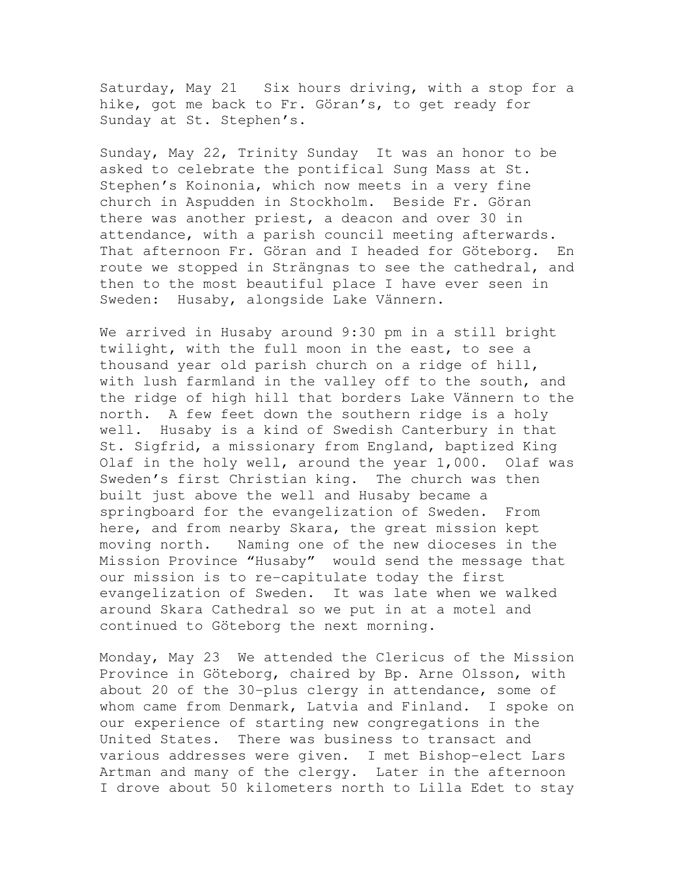Saturday, May 21 Six hours driving, with a stop for a hike, got me back to Fr. Göran's, to get ready for Sunday at St. Stephen's.

Sunday, May 22, Trinity Sunday It was an honor to be asked to celebrate the pontifical Sung Mass at St. Stephen's Koinonia, which now meets in a very fine church in Aspudden in Stockholm. Beside Fr. Göran there was another priest, a deacon and over 30 in attendance, with a parish council meeting afterwards. That afternoon Fr. Göran and I headed for Göteborg. En route we stopped in Strängnas to see the cathedral, and then to the most beautiful place I have ever seen in Sweden: Husaby, alongside Lake Vännern.

We arrived in Husaby around 9:30 pm in a still bright twilight, with the full moon in the east, to see a thousand year old parish church on a ridge of hill, with lush farmland in the valley off to the south, and the ridge of high hill that borders Lake Vännern to the north. A few feet down the southern ridge is a holy well. Husaby is a kind of Swedish Canterbury in that St. Sigfrid, a missionary from England, baptized King Olaf in the holy well, around the year 1,000. Olaf was Sweden's first Christian king. The church was then built just above the well and Husaby became a springboard for the evangelization of Sweden. From here, and from nearby Skara, the great mission kept moving north. Naming one of the new dioceses in the Mission Province "Husaby" would send the message that our mission is to re-capitulate today the first evangelization of Sweden. It was late when we walked around Skara Cathedral so we put in at a motel and continued to Göteborg the next morning.

Monday, May 23 We attended the Clericus of the Mission Province in Göteborg, chaired by Bp. Arne Olsson, with about 20 of the 30-plus clergy in attendance, some of whom came from Denmark, Latvia and Finland. I spoke on our experience of starting new congregations in the United States. There was business to transact and various addresses were given. I met Bishop-elect Lars Artman and many of the clergy. Later in the afternoon I drove about 50 kilometers north to Lilla Edet to stay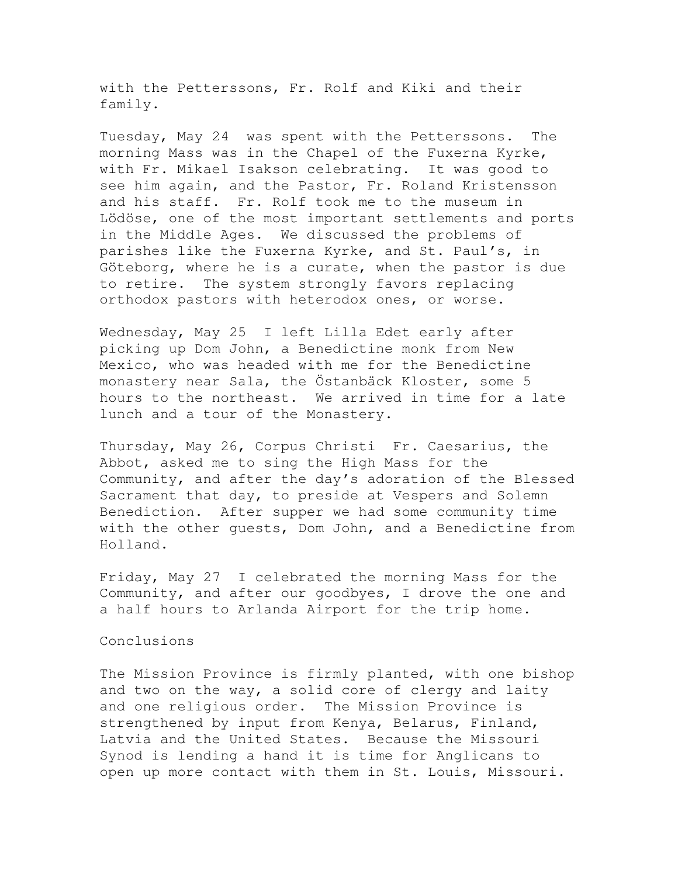with the Petterssons, Fr. Rolf and Kiki and their family.

Tuesday, May 24 was spent with the Petterssons. The morning Mass was in the Chapel of the Fuxerna Kyrke, with Fr. Mikael Isakson celebrating. It was good to see him again, and the Pastor, Fr. Roland Kristensson and his staff. Fr. Rolf took me to the museum in Lödöse, one of the most important settlements and ports in the Middle Ages. We discussed the problems of parishes like the Fuxerna Kyrke, and St. Paul's, in Göteborg, where he is a curate, when the pastor is due to retire. The system strongly favors replacing orthodox pastors with heterodox ones, or worse.

Wednesday, May 25 I left Lilla Edet early after picking up Dom John, a Benedictine monk from New Mexico, who was headed with me for the Benedictine monastery near Sala, the Östanbäck Kloster, some 5 hours to the northeast. We arrived in time for a late lunch and a tour of the Monastery.

Thursday, May 26, Corpus Christi Fr. Caesarius, the Abbot, asked me to sing the High Mass for the Community, and after the day's adoration of the Blessed Sacrament that day, to preside at Vespers and Solemn Benediction. After supper we had some community time with the other guests, Dom John, and a Benedictine from Holland.

Friday, May 27 I celebrated the morning Mass for the Community, and after our goodbyes, I drove the one and a half hours to Arlanda Airport for the trip home.

## Conclusions

The Mission Province is firmly planted, with one bishop and two on the way, a solid core of clergy and laity and one religious order. The Mission Province is strengthened by input from Kenya, Belarus, Finland, Latvia and the United States. Because the Missouri Synod is lending a hand it is time for Anglicans to open up more contact with them in St. Louis, Missouri.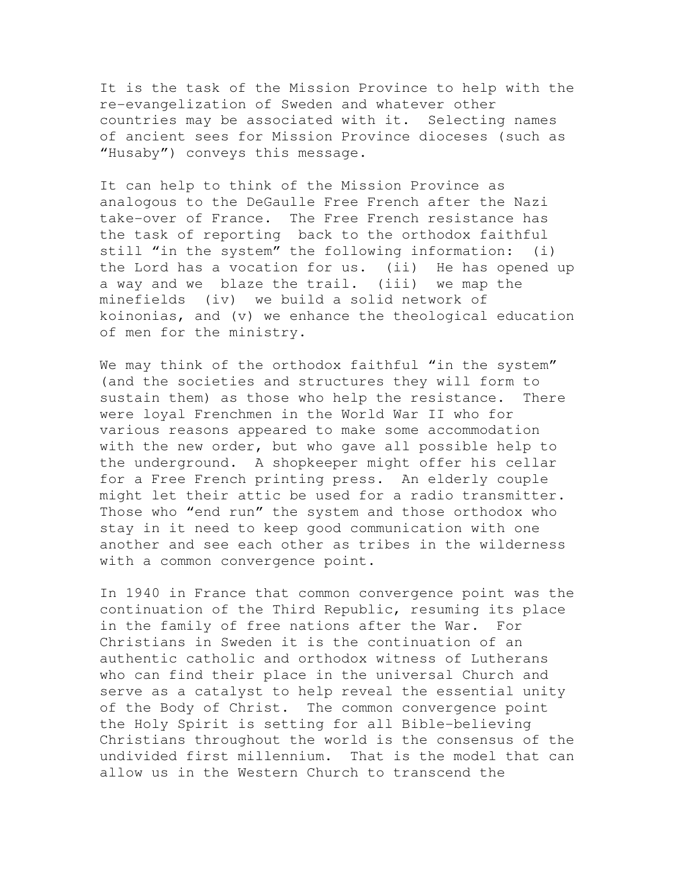It is the task of the Mission Province to help with the re-evangelization of Sweden and whatever other countries may be associated with it. Selecting names of ancient sees for Mission Province dioceses (such as "Husaby") conveys this message.

It can help to think of the Mission Province as analogous to the DeGaulle Free French after the Nazi take-over of France. The Free French resistance has the task of reporting back to the orthodox faithful still "in the system" the following information: (i) the Lord has a vocation for us. (ii) He has opened up a way and we blaze the trail. (iii) we map the minefields (iv) we build a solid network of koinonias, and (v) we enhance the theological education of men for the ministry.

We may think of the orthodox faithful "in the system" (and the societies and structures they will form to sustain them) as those who help the resistance. There were loyal Frenchmen in the World War II who for various reasons appeared to make some accommodation with the new order, but who gave all possible help to the underground. A shopkeeper might offer his cellar for a Free French printing press. An elderly couple might let their attic be used for a radio transmitter. Those who "end run" the system and those orthodox who stay in it need to keep good communication with one another and see each other as tribes in the wilderness with a common convergence point.

In 1940 in France that common convergence point was the continuation of the Third Republic, resuming its place in the family of free nations after the War. For Christians in Sweden it is the continuation of an authentic catholic and orthodox witness of Lutherans who can find their place in the universal Church and serve as a catalyst to help reveal the essential unity of the Body of Christ. The common convergence point the Holy Spirit is setting for all Bible-believing Christians throughout the world is the consensus of the undivided first millennium. That is the model that can allow us in the Western Church to transcend the